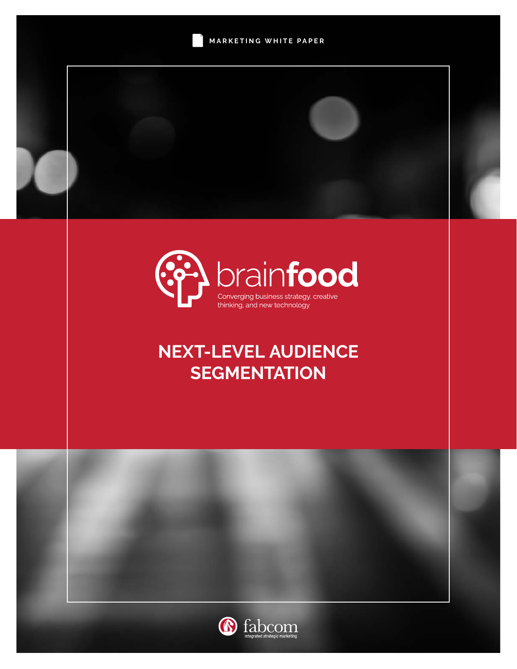



# **NEXT-LEVEL AUDIENCE SEGMENTATION**



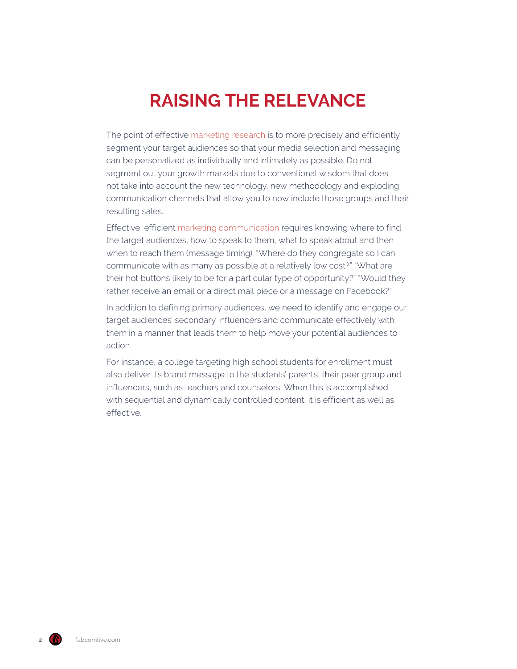# **RAISING THE RELEVANCE**

The point of effective [marketing research](https://www.fabcomlive.com/phoenix-marketing-advertising-agency-services/marketing-research) is to more precisely and efficiently segment your target audiences so that your media selection and messaging can be personalized as individually and intimately as possible. Do not segment out your growth markets due to conventional wisdom that does not take into account the new technology, new methodology and exploding communication channels that allow you to now include those groups and their resulting sales.

Effective, efficient [marketing communication](https://www.fabcomlive.com/phoenix-marketing-advertising-agency-services/marketing-communications) requires knowing where to find the target audiences, how to speak to them, what to speak about and then when to reach them (message timing). "Where do they congregate so I can communicate with as many as possible at a relatively low cost?" "What are their hot buttons likely to be for a particular type of opportunity?" "Would they rather receive an email or a direct mail piece or a message on Facebook?"

In addition to defining primary audiences, we need to identify and engage our target audiences' secondary influencers and communicate effectively with them in a manner that leads them to help move your potential audiences to action.

For instance, a college targeting high school students for enrollment must also deliver its brand message to the students' parents, their peer group and influencers, such as teachers and counselors. When this is accomplished with sequential and dynamically controlled content, it is efficient as well as effective.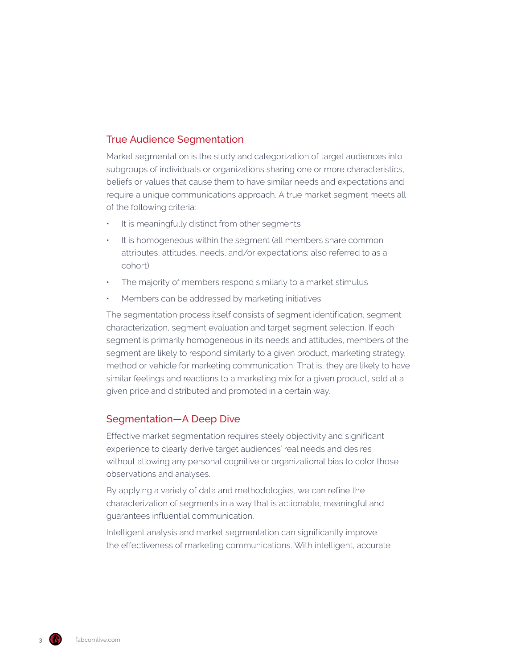# True Audience Segmentation

Market segmentation is the study and categorization of target audiences into subgroups of individuals or organizations sharing one or more characteristics, beliefs or values that cause them to have similar needs and expectations and require a unique communications approach. A true market segment meets all of the following criteria:

- It is meaningfully distinct from other segments
- It is homogeneous within the segment (all members share common attributes, attitudes, needs, and/or expectations; also referred to as a cohort)
- The majority of members respond similarly to a market stimulus
- Members can be addressed by marketing initiatives

The segmentation process itself consists of segment identification, segment characterization, segment evaluation and target segment selection. If each segment is primarily homogeneous in its needs and attitudes, members of the segment are likely to respond similarly to a given product, marketing strategy, method or vehicle for marketing communication. That is, they are likely to have similar feelings and reactions to a marketing mix for a given product, sold at a given price and distributed and promoted in a certain way.

## Segmentation—A Deep Dive

Effective market segmentation requires steely objectivity and significant experience to clearly derive target audiences' real needs and desires without allowing any personal cognitive or organizational bias to color those observations and analyses.

By applying a variety of data and methodologies, we can refine the characterization of segments in a way that is actionable, meaningful and guarantees influential communication.

Intelligent analysis and market segmentation can significantly improve the effectiveness of marketing communications. With intelligent, accurate

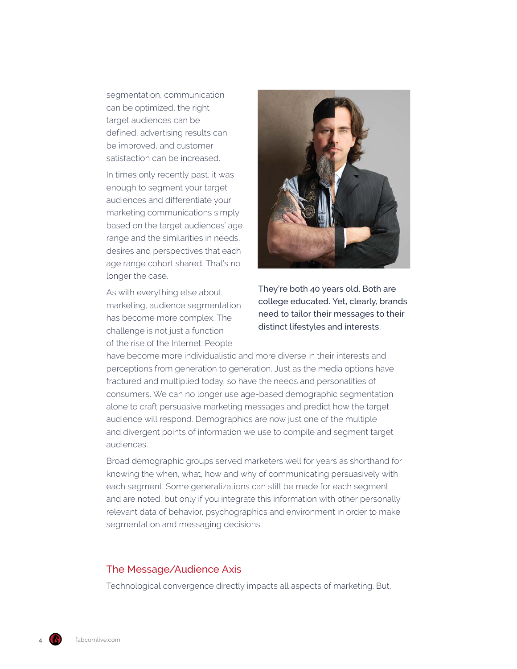segmentation, communication can be optimized, the right target audiences can be defined, advertising results can be improved, and customer satisfaction can be increased.

In times only recently past, it was enough to segment your target audiences and differentiate your marketing communications simply based on the target audiences' age range and the similarities in needs, desires and perspectives that each age range cohort shared. That's no longer the case.

As with everything else about marketing, audience segmentation has become more complex. The challenge is not just a function of the rise of the Internet. People



They're both 40 years old. Both are college educated. Yet, clearly, brands need to tailor their messages to their distinct lifestyles and interests.

have become more individualistic and more diverse in their interests and perceptions from generation to generation. Just as the media options have fractured and multiplied today, so have the needs and personalities of consumers. We can no longer use age-based demographic segmentation alone to craft persuasive marketing messages and predict how the target audience will respond. Demographics are now just one of the multiple and divergent points of information we use to compile and segment target audiences.

Broad demographic groups served marketers well for years as shorthand for knowing the when, what, how and why of communicating persuasively with each segment. Some generalizations can still be made for each segment and are noted, but only if you integrate this information with other personally relevant data of behavior, psychographics and environment in order to make segmentation and messaging decisions.

## The Message/Audience Axis

Technological convergence directly impacts all aspects of marketing. But,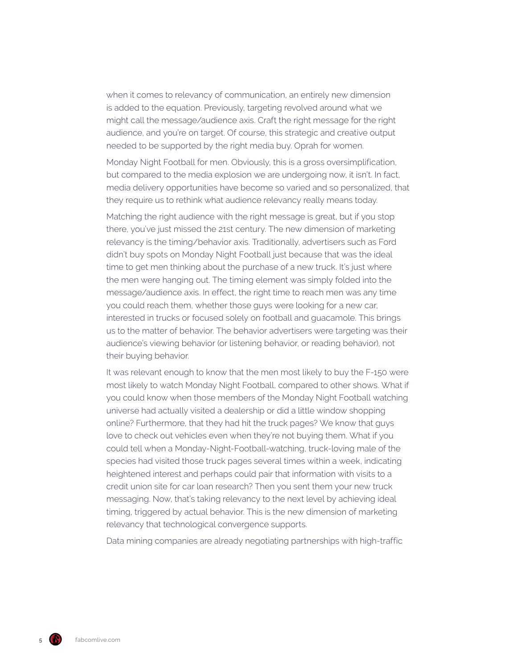when it comes to relevancy of communication, an entirely new dimension is added to the equation. Previously, targeting revolved around what we might call the message/audience axis. Craft the right message for the right audience, and you're on target. Of course, this strategic and creative output needed to be supported by the right media buy. Oprah for women.

Monday Night Football for men. Obviously, this is a gross oversimplification, but compared to the media explosion we are undergoing now, it isn't. In fact, media delivery opportunities have become so varied and so personalized, that they require us to rethink what audience relevancy really means today.

Matching the right audience with the right message is great, but if you stop there, you've just missed the 21st century. The new dimension of marketing relevancy is the timing/behavior axis. Traditionally, advertisers such as Ford didn't buy spots on Monday Night Football just because that was the ideal time to get men thinking about the purchase of a new truck. It's just where the men were hanging out. The timing element was simply folded into the message/audience axis. In effect, the right time to reach men was any time you could reach them, whether those guys were looking for a new car, interested in trucks or focused solely on football and guacamole. This brings us to the matter of behavior. The behavior advertisers were targeting was their audience's viewing behavior (or listening behavior, or reading behavior), not their buying behavior.

It was relevant enough to know that the men most likely to buy the F-150 were most likely to watch Monday Night Football, compared to other shows. What if you could know when those members of the Monday Night Football watching universe had actually visited a dealership or did a little window shopping online? Furthermore, that they had hit the truck pages? We know that guys love to check out vehicles even when they're not buying them. What if you could tell when a Monday-Night-Football-watching, truck-loving male of the species had visited those truck pages several times within a week, indicating heightened interest and perhaps could pair that information with visits to a credit union site for car loan research? Then you sent them your new truck messaging. Now, that's taking relevancy to the next level by achieving ideal timing, triggered by actual behavior. This is the new dimension of marketing relevancy that technological convergence supports.

Data mining companies are already negotiating partnerships with high-traffic

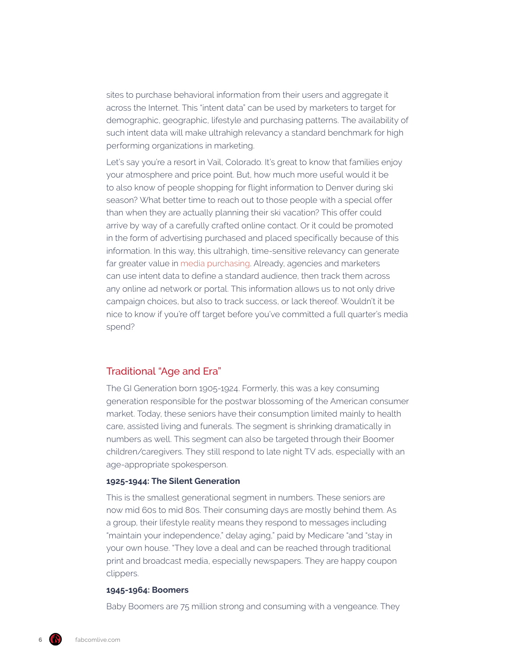sites to purchase behavioral information from their users and aggregate it across the Internet. This "intent data" can be used by marketers to target for demographic, geographic, lifestyle and purchasing patterns. The availability of such intent data will make ultrahigh relevancy a standard benchmark for high performing organizations in marketing.

Let's say you're a resort in Vail, Colorado. It's great to know that families enjoy your atmosphere and price point. But, how much more useful would it be to also know of people shopping for flight information to Denver during ski season? What better time to reach out to those people with a special offer than when they are actually planning their ski vacation? This offer could arrive by way of a carefully crafted online contact. Or it could be promoted in the form of advertising purchased and placed specifically because of this information. In this way, this ultrahigh, time-sensitive relevancy can generate far greater value in [media purchasing](https://www.fabcomlive.com/phoenix-marketing-advertising-agency-services/media-planning-and-buying). Already, agencies and marketers can use intent data to define a standard audience, then track them across any online ad network or portal. This information allows us to not only drive campaign choices, but also to track success, or lack thereof. Wouldn't it be nice to know if you're off target before you've committed a full quarter's media spend?

# Traditional "Age and Era"

The GI Generation born 1905-1924. Formerly, this was a key consuming generation responsible for the postwar blossoming of the American consumer market. Today, these seniors have their consumption limited mainly to health care, assisted living and funerals. The segment is shrinking dramatically in numbers as well. This segment can also be targeted through their Boomer children/caregivers. They still respond to late night TV ads, especially with an age-appropriate spokesperson.

#### **1925-1944: The Silent Generation**

This is the smallest generational segment in numbers. These seniors are now mid 60s to mid 80s. Their consuming days are mostly behind them. As a group, their lifestyle reality means they respond to messages including "maintain your independence," delay aging," paid by Medicare "and "stay in your own house. "They love a deal and can be reached through traditional print and broadcast media, especially newspapers. They are happy coupon clippers.

### **1945-1964: Boomers**

Baby Boomers are 75 million strong and consuming with a vengeance. They

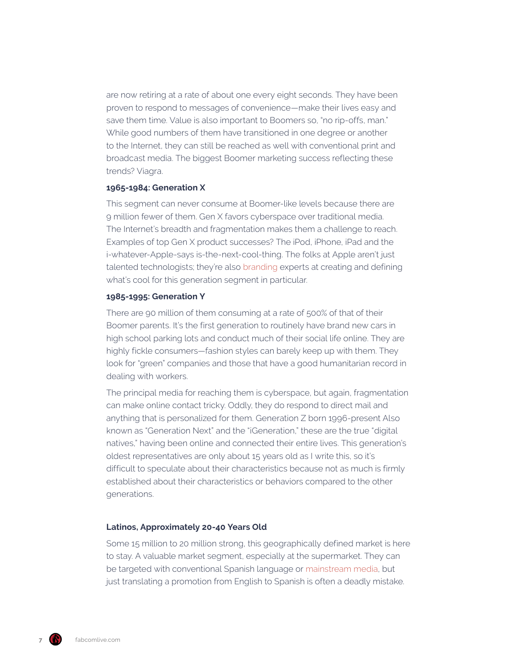are now retiring at a rate of about one every eight seconds. They have been proven to respond to messages of convenience—make their lives easy and save them time. Value is also important to Boomers so, "no rip-offs, man." While good numbers of them have transitioned in one degree or another to the Internet, they can still be reached as well with conventional print and broadcast media. The biggest Boomer marketing success reflecting these trends? Viagra.

#### **1965-1984: Generation X**

This segment can never consume at Boomer-like levels because there are 9 million fewer of them. Gen X favors cyberspace over traditional media. The Internet's breadth and fragmentation makes them a challenge to reach. Examples of top Gen X product successes? The iPod, iPhone, iPad and the i-whatever-Apple-says is-the-next-cool-thing. The folks at Apple aren't just talented technologists; they're also [branding](https://www.fabcomlive.com/phoenix-marketing-advertising-agency-services/branding-and-positioning) experts at creating and defining what's cool for this generation segment in particular.

#### **1985-1995: Generation Y**

There are 90 million of them consuming at a rate of 500% of that of their Boomer parents. It's the first generation to routinely have brand new cars in high school parking lots and conduct much of their social life online. They are highly fickle consumers—fashion styles can barely keep up with them. They look for "green" companies and those that have a good humanitarian record in dealing with workers.

The principal media for reaching them is cyberspace, but again, fragmentation can make online contact tricky. Oddly, they do respond to direct mail and anything that is personalized for them. Generation Z born 1996-present Also known as "Generation Next" and the "iGeneration," these are the true "digital natives," having been online and connected their entire lives. This generation's oldest representatives are only about 15 years old as I write this, so it's difficult to speculate about their characteristics because not as much is firmly established about their characteristics or behaviors compared to the other generations.

#### **Latinos, Approximately 20-40 Years Old**

Some 15 million to 20 million strong, this geographically defined market is here to stay. A valuable market segment, especially at the supermarket. They can be targeted with conventional Spanish language or [mainstream media,](https://www.fabcomlive.com/phoenix-marketing-advertising-agency-services/media-planning-and-buying) but just translating a promotion from English to Spanish is often a deadly mistake.

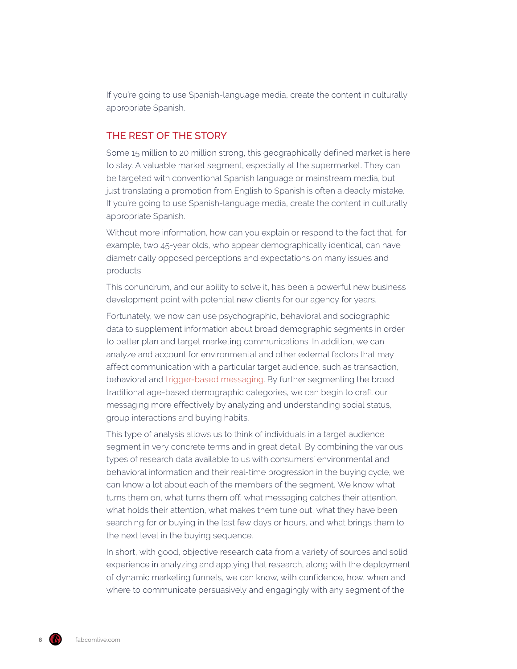If you're going to use Spanish-language media, create the content in culturally appropriate Spanish.

# THE REST OF THE STORY

Some 15 million to 20 million strong, this geographically defined market is here to stay. A valuable market segment, especially at the supermarket. They can be targeted with conventional Spanish language or mainstream media, but just translating a promotion from English to Spanish is often a deadly mistake. If you're going to use Spanish-language media, create the content in culturally appropriate Spanish.

Without more information, how can you explain or respond to the fact that, for example, two 45-year olds, who appear demographically identical, can have diametrically opposed perceptions and expectations on many issues and products.

This conundrum, and our ability to solve it, has been a powerful new business development point with potential new clients for our agency for years.

Fortunately, we now can use psychographic, behavioral and sociographic data to supplement information about broad demographic segments in order to better plan and target marketing communications. In addition, we can analyze and account for environmental and other external factors that may affect communication with a particular target audience, such as transaction, behavioral and [trigger-based messaging](https://www.fabcomlive.com/phoenix-marketing-advertising-agency-services/transaction-and-trigger-marketing). By further segmenting the broad traditional age-based demographic categories, we can begin to craft our messaging more effectively by analyzing and understanding social status, group interactions and buying habits.

This type of analysis allows us to think of individuals in a target audience segment in very concrete terms and in great detail. By combining the various types of research data available to us with consumers' environmental and behavioral information and their real-time progression in the buying cycle, we can know a lot about each of the members of the segment. We know what turns them on, what turns them off, what messaging catches their attention, what holds their attention, what makes them tune out, what they have been searching for or buying in the last few days or hours, and what brings them to the next level in the buying sequence.

In short, with good, objective research data from a variety of sources and solid experience in analyzing and applying that research, along with the deployment of dynamic marketing funnels, we can know, with confidence, how, when and where to communicate persuasively and engagingly with any segment of the

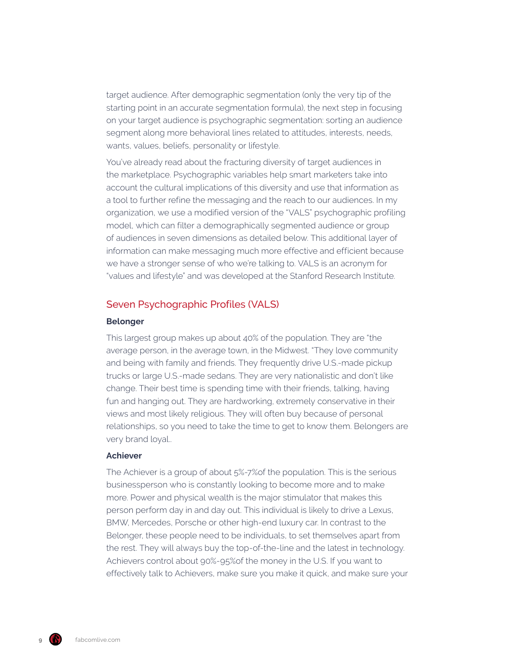target audience. After demographic segmentation (only the very tip of the starting point in an accurate segmentation formula), the next step in focusing on your target audience is psychographic segmentation: sorting an audience segment along more behavioral lines related to attitudes, interests, needs, wants, values, beliefs, personality or lifestyle.

You've already read about the fracturing diversity of target audiences in the marketplace. Psychographic variables help smart marketers take into account the cultural implications of this diversity and use that information as a tool to further refine the messaging and the reach to our audiences. In my organization, we use a modified version of the "VALS" psychographic profiling model, which can filter a demographically segmented audience or group of audiences in seven dimensions as detailed below. This additional layer of information can make messaging much more effective and efficient because we have a stronger sense of who we're talking to. VALS is an acronym for "values and lifestyle" and was developed at the Stanford Research Institute.

## Seven Psychographic Profiles (VALS)

### **Belonger**

This largest group makes up about 40% of the population. They are "the average person, in the average town, in the Midwest. "They love community and being with family and friends. They frequently drive U.S.-made pickup trucks or large U.S.-made sedans. They are very nationalistic and don't like change. Their best time is spending time with their friends, talking, having fun and hanging out. They are hardworking, extremely conservative in their views and most likely religious. They will often buy because of personal relationships, so you need to take the time to get to know them. Belongers are very brand loyal..

### **Achiever**

The Achiever is a group of about 5%-7%of the population. This is the serious businessperson who is constantly looking to become more and to make more. Power and physical wealth is the major stimulator that makes this person perform day in and day out. This individual is likely to drive a Lexus, BMW, Mercedes, Porsche or other high-end luxury car. In contrast to the Belonger, these people need to be individuals, to set themselves apart from the rest. They will always buy the top-of-the-line and the latest in technology. Achievers control about 90%-95%of the money in the U.S. If you want to effectively talk to Achievers, make sure you make it quick, and make sure your

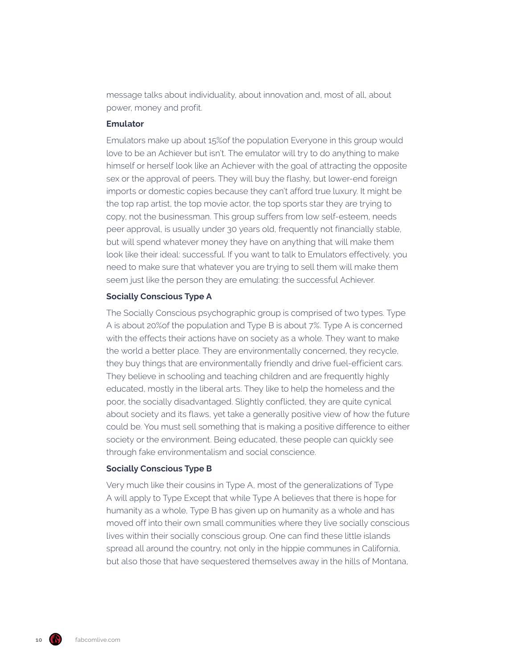message talks about individuality, about innovation and, most of all, about power, money and profit.

#### **Emulator**

Emulators make up about 15%of the population Everyone in this group would love to be an Achiever but isn't. The emulator will try to do anything to make himself or herself look like an Achiever with the goal of attracting the opposite sex or the approval of peers. They will buy the flashy, but lower-end foreign imports or domestic copies because they can't afford true luxury. It might be the top rap artist, the top movie actor, the top sports star they are trying to copy, not the businessman. This group suffers from low self-esteem, needs peer approval, is usually under 30 years old, frequently not financially stable, but will spend whatever money they have on anything that will make them look like their ideal: successful. If you want to talk to Emulators effectively, you need to make sure that whatever you are trying to sell them will make them seem just like the person they are emulating: the successful Achiever.

#### **Socially Conscious Type A**

The Socially Conscious psychographic group is comprised of two types. Type A is about 20%of the population and Type B is about 7%. Type A is concerned with the effects their actions have on society as a whole. They want to make the world a better place. They are environmentally concerned, they recycle, they buy things that are environmentally friendly and drive fuel-efficient cars. They believe in schooling and teaching children and are frequently highly educated, mostly in the liberal arts. They like to help the homeless and the poor, the socially disadvantaged. Slightly conflicted, they are quite cynical about society and its flaws, yet take a generally positive view of how the future could be. You must sell something that is making a positive difference to either society or the environment. Being educated, these people can quickly see through fake environmentalism and social conscience.

## **Socially Conscious Type B**

Very much like their cousins in Type A, most of the generalizations of Type A will apply to Type Except that while Type A believes that there is hope for humanity as a whole, Type B has given up on humanity as a whole and has moved off into their own small communities where they live socially conscious lives within their socially conscious group. One can find these little islands spread all around the country, not only in the hippie communes in California, but also those that have sequestered themselves away in the hills of Montana,

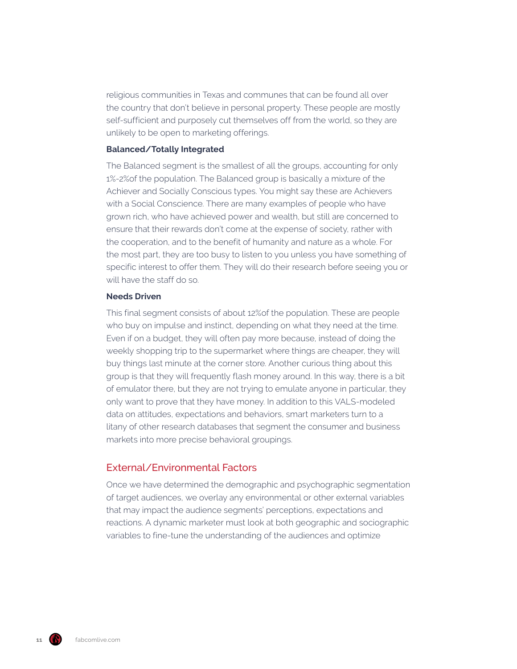religious communities in Texas and communes that can be found all over the country that don't believe in personal property. These people are mostly self-sufficient and purposely cut themselves off from the world, so they are unlikely to be open to marketing offerings.

#### **Balanced/Totally Integrated**

The Balanced segment is the smallest of all the groups, accounting for only 1%-2%of the population. The Balanced group is basically a mixture of the Achiever and Socially Conscious types. You might say these are Achievers with a Social Conscience. There are many examples of people who have grown rich, who have achieved power and wealth, but still are concerned to ensure that their rewards don't come at the expense of society, rather with the cooperation, and to the benefit of humanity and nature as a whole. For the most part, they are too busy to listen to you unless you have something of specific interest to offer them. They will do their research before seeing you or will have the staff do so.

#### **Needs Driven**

This final segment consists of about 12%of the population. These are people who buy on impulse and instinct, depending on what they need at the time. Even if on a budget, they will often pay more because, instead of doing the weekly shopping trip to the supermarket where things are cheaper, they will buy things last minute at the corner store. Another curious thing about this group is that they will frequently flash money around. In this way, there is a bit of emulator there, but they are not trying to emulate anyone in particular, they only want to prove that they have money. In addition to this VALS-modeled data on attitudes, expectations and behaviors, smart marketers turn to a litany of other research databases that segment the consumer and business markets into more precise behavioral groupings.

## External/Environmental Factors

Once we have determined the demographic and psychographic segmentation of target audiences, we overlay any environmental or other external variables that may impact the audience segments' perceptions, expectations and reactions. A dynamic marketer must look at both geographic and sociographic variables to fine-tune the understanding of the audiences and optimize

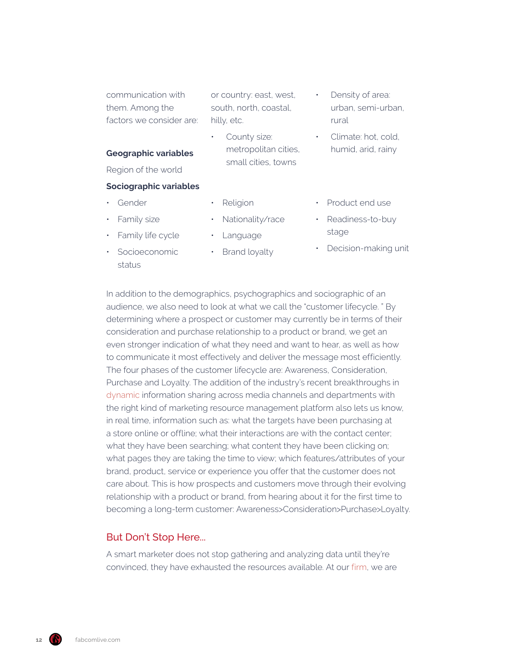communication with them. Among the factors we consider are: or country: east, west, south, north, coastal, hilly, etc.

County size:

metropolitan cities, small cities, towns

Density of area: urban, semi-urban, rural

> • Climate: hot, cold, humid, arid, rainy

#### **Geographic variables**

Region of the world

### **Sociographic variables**

• Family life cycle • Socioeconomic

- Gender
- Family size

status

- Nationality/race
- - Language

• Religion

- Brand loyalty
- Product end use
- Readiness-to-buy stage
- Decision-making unit

In addition to the demographics, psychographics and sociographic of an audience, we also need to look at what we call the "customer lifecycle. " By determining where a prospect or customer may currently be in terms of their consideration and purchase relationship to a product or brand, we get an even stronger indication of what they need and want to hear, as well as how to communicate it most effectively and deliver the message most efficiently. The four phases of the customer lifecycle are: Awareness, Consideration, Purchase and Loyalty. The addition of the industry's recent breakthroughs in [dynamic](https://www.fabcomlive.com/phoenix-marketing-advertising-agency-services/dynamic-marketing) information sharing across media channels and departments with the right kind of marketing resource management platform also lets us know, in real time, information such as: what the targets have been purchasing at a store online or offline; what their interactions are with the contact center; what they have been searching; what content they have been clicking on; what pages they are taking the time to view; which features/attributes of your brand, product, service or experience you offer that the customer does not care about. This is how prospects and customers move through their evolving relationship with a product or brand, from hearing about it for the first time to becoming a long-term customer: Awareness>Consideration>Purchase>Loyalty.

# But Don't Stop Here...

A smart marketer does not stop gathering and analyzing data until they're convinced, they have exhausted the resources available. At our [firm,](https://www.fabcomlive.com/) we are

**12** fabcomlive.com